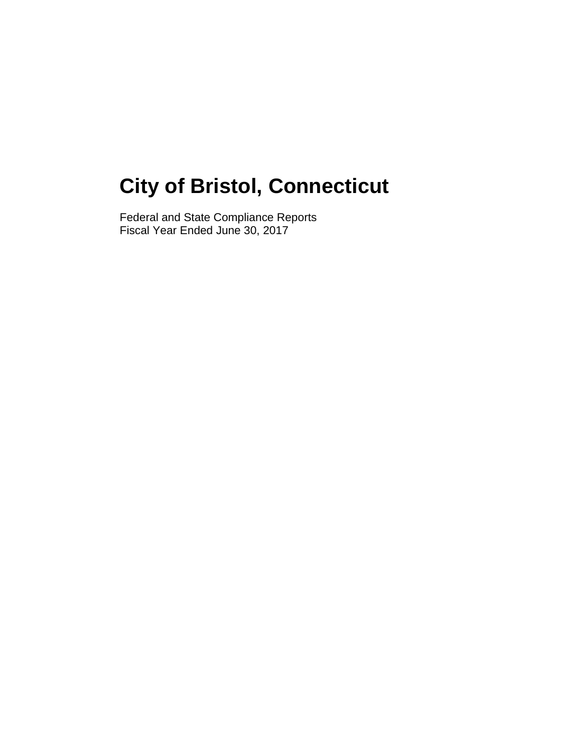Federal and State Compliance Reports Fiscal Year Ended June 30, 2017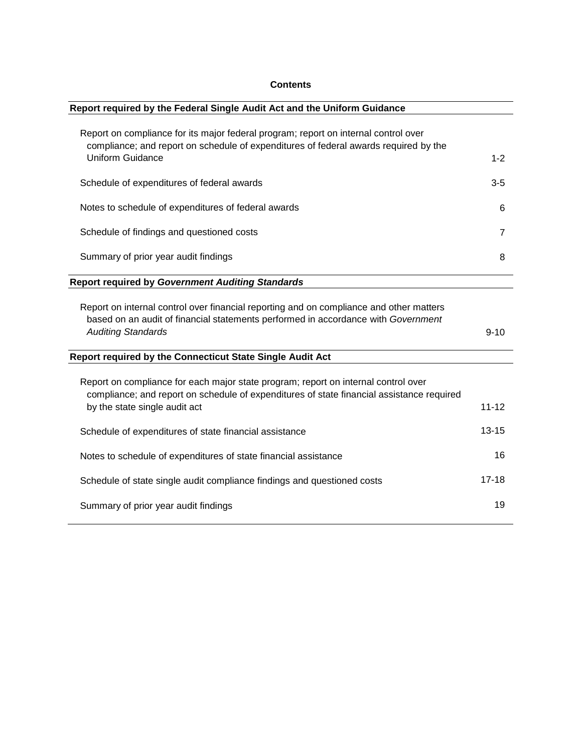| Report required by the Federal Single Audit Act and the Uniform Guidance                                                                                                                                         |           |
|------------------------------------------------------------------------------------------------------------------------------------------------------------------------------------------------------------------|-----------|
| Report on compliance for its major federal program; report on internal control over<br>compliance; and report on schedule of expenditures of federal awards required by the<br><b>Uniform Guidance</b>           | $1 - 2$   |
| Schedule of expenditures of federal awards                                                                                                                                                                       | $3 - 5$   |
| Notes to schedule of expenditures of federal awards                                                                                                                                                              | 6         |
| Schedule of findings and questioned costs                                                                                                                                                                        | 7         |
| Summary of prior year audit findings                                                                                                                                                                             | 8         |
| <b>Report required by Government Auditing Standards</b>                                                                                                                                                          |           |
| Report on internal control over financial reporting and on compliance and other matters<br>based on an audit of financial statements performed in accordance with Government<br><b>Auditing Standards</b>        | $9 - 10$  |
| Report required by the Connecticut State Single Audit Act                                                                                                                                                        |           |
| Report on compliance for each major state program; report on internal control over<br>compliance; and report on schedule of expenditures of state financial assistance required<br>by the state single audit act | $11 - 12$ |
| Schedule of expenditures of state financial assistance                                                                                                                                                           | $13 - 15$ |
| Notes to schedule of expenditures of state financial assistance                                                                                                                                                  | 16        |
| Schedule of state single audit compliance findings and questioned costs                                                                                                                                          | $17 - 18$ |
| Summary of prior year audit findings                                                                                                                                                                             | 19        |
|                                                                                                                                                                                                                  |           |

# **Contents**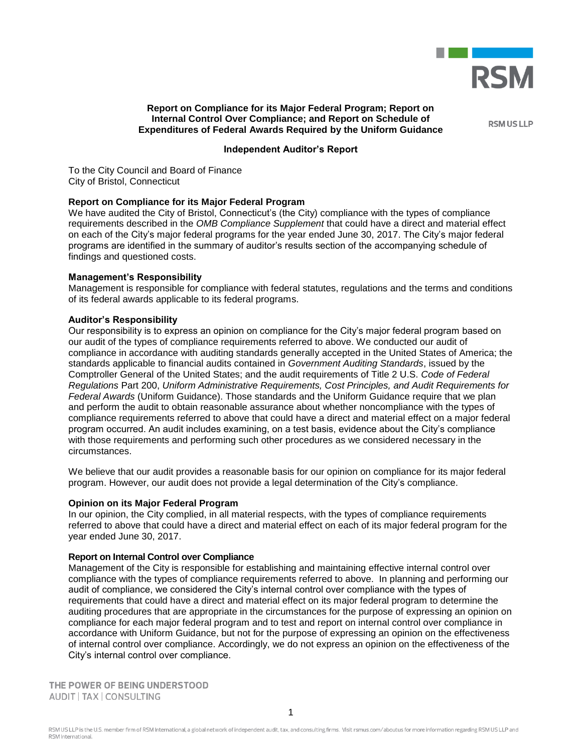

## **Report on Compliance for its Major Federal Program; Report on Internal Control Over Compliance; and Report on Schedule of Expenditures of Federal Awards Required by the Uniform Guidance**

**RSM US LLP** 

## **Independent Auditor's Report**

To the City Council and Board of Finance City of Bristol, Connecticut

## **Report on Compliance for its Major Federal Program**

We have audited the City of Bristol, Connecticut's (the City) compliance with the types of compliance requirements described in the *OMB Compliance Supplement* that could have a direct and material effect on each of the City's major federal programs for the year ended June 30, 2017. The City's major federal programs are identified in the summary of auditor's results section of the accompanying schedule of findings and questioned costs.

#### **Management's Responsibility**

Management is responsible for compliance with federal statutes, regulations and the terms and conditions of its federal awards applicable to its federal programs.

#### **Auditor's Responsibility**

Our responsibility is to express an opinion on compliance for the City's major federal program based on our audit of the types of compliance requirements referred to above. We conducted our audit of compliance in accordance with auditing standards generally accepted in the United States of America; the standards applicable to financial audits contained in *Government Auditing Standards*, issued by the Comptroller General of the United States; and the audit requirements of Title 2 U.S. *Code of Federal Regulations* Part 200, *Uniform Administrative Requirements, Cost Principles, and Audit Requirements for Federal Awards* (Uniform Guidance). Those standards and the Uniform Guidance require that we plan and perform the audit to obtain reasonable assurance about whether noncompliance with the types of compliance requirements referred to above that could have a direct and material effect on a major federal program occurred. An audit includes examining, on a test basis, evidence about the City's compliance with those requirements and performing such other procedures as we considered necessary in the circumstances.

We believe that our audit provides a reasonable basis for our opinion on compliance for its major federal program. However, our audit does not provide a legal determination of the City's compliance.

#### **Opinion on its Major Federal Program**

In our opinion, the City complied, in all material respects, with the types of compliance requirements referred to above that could have a direct and material effect on each of its major federal program for the year ended June 30, 2017.

#### **Report on Internal Control over Compliance**

Management of the City is responsible for establishing and maintaining effective internal control over compliance with the types of compliance requirements referred to above. In planning and performing our audit of compliance, we considered the City's internal control over compliance with the types of requirements that could have a direct and material effect on its major federal program to determine the auditing procedures that are appropriate in the circumstances for the purpose of expressing an opinion on compliance for each major federal program and to test and report on internal control over compliance in accordance with Uniform Guidance, but not for the purpose of expressing an opinion on the effectiveness of internal control over compliance. Accordingly, we do not express an opinion on the effectiveness of the City's internal control over compliance.

THE POWER OF BEING UNDERSTOOD AUDIT | TAX | CONSULTING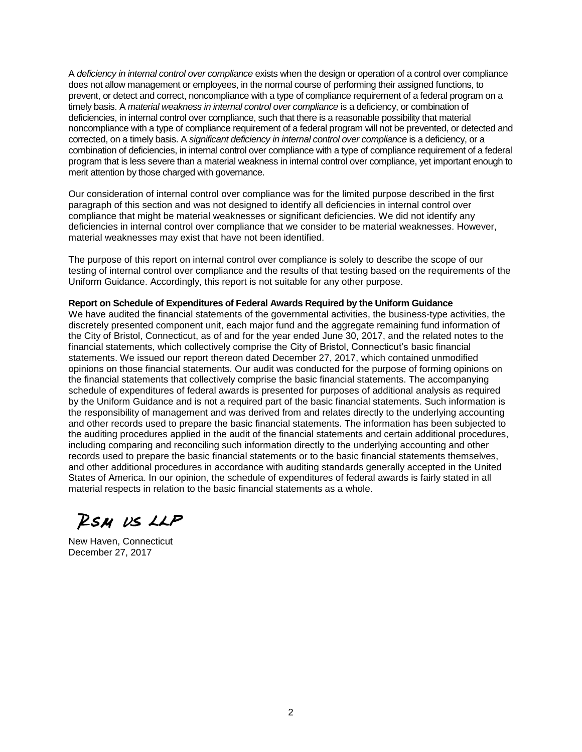A *deficiency in internal control over compliance* exists when the design or operation of a control over compliance does not allow management or employees, in the normal course of performing their assigned functions, to prevent, or detect and correct, noncompliance with a type of compliance requirement of a federal program on a timely basis. A *material weakness in internal control over compliance* is a deficiency, or combination of deficiencies, in internal control over compliance, such that there is a reasonable possibility that material noncompliance with a type of compliance requirement of a federal program will not be prevented, or detected and corrected, on a timely basis. A *significant deficiency in internal control over compliance* is a deficiency, or a combination of deficiencies, in internal control over compliance with a type of compliance requirement of a federal program that is less severe than a material weakness in internal control over compliance, yet important enough to merit attention by those charged with governance.

Our consideration of internal control over compliance was for the limited purpose described in the first paragraph of this section and was not designed to identify all deficiencies in internal control over compliance that might be material weaknesses or significant deficiencies. We did not identify any deficiencies in internal control over compliance that we consider to be material weaknesses. However, material weaknesses may exist that have not been identified.

The purpose of this report on internal control over compliance is solely to describe the scope of our testing of internal control over compliance and the results of that testing based on the requirements of the Uniform Guidance. Accordingly, this report is not suitable for any other purpose.

## **Report on Schedule of Expenditures of Federal Awards Required by the Uniform Guidance**

We have audited the financial statements of the governmental activities, the business-type activities, the discretely presented component unit, each major fund and the aggregate remaining fund information of the City of Bristol, Connecticut, as of and for the year ended June 30, 2017, and the related notes to the financial statements, which collectively comprise the City of Bristol, Connecticut's basic financial statements. We issued our report thereon dated December 27, 2017, which contained unmodified opinions on those financial statements. Our audit was conducted for the purpose of forming opinions on the financial statements that collectively comprise the basic financial statements. The accompanying schedule of expenditures of federal awards is presented for purposes of additional analysis as required by the Uniform Guidance and is not a required part of the basic financial statements. Such information is the responsibility of management and was derived from and relates directly to the underlying accounting and other records used to prepare the basic financial statements. The information has been subjected to the auditing procedures applied in the audit of the financial statements and certain additional procedures, including comparing and reconciling such information directly to the underlying accounting and other records used to prepare the basic financial statements or to the basic financial statements themselves, and other additional procedures in accordance with auditing standards generally accepted in the United States of America. In our opinion, the schedule of expenditures of federal awards is fairly stated in all material respects in relation to the basic financial statements as a whole.

**RSM US LLP** 

New Haven, Connecticut December 27, 2017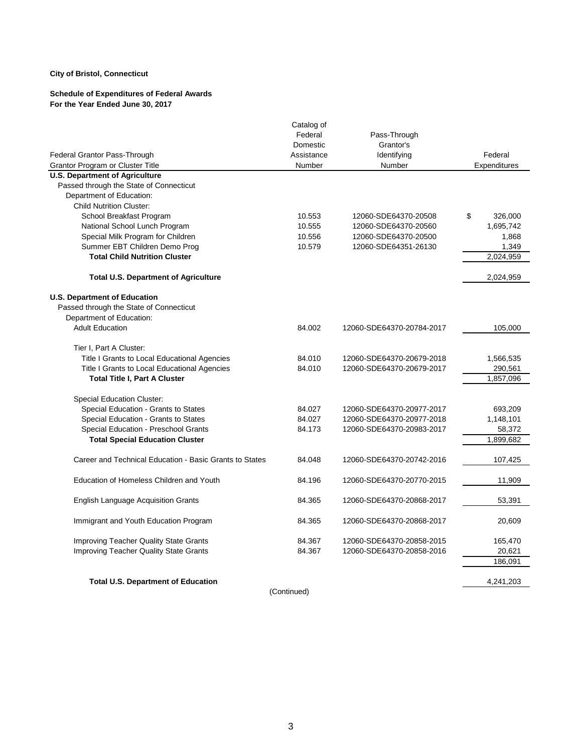#### **Schedule of Expenditures of Federal Awards For the Year Ended June 30, 2017**

|                                                         | Catalog of<br>Federal | Pass-Through              |               |
|---------------------------------------------------------|-----------------------|---------------------------|---------------|
|                                                         | Domestic              | Grantor's                 |               |
| Federal Grantor Pass-Through                            | Assistance            | Identifying               | Federal       |
| Grantor Program or Cluster Title                        | Number                | Number                    | Expenditures  |
| <b>U.S. Department of Agriculture</b>                   |                       |                           |               |
| Passed through the State of Connecticut                 |                       |                           |               |
| Department of Education:                                |                       |                           |               |
| <b>Child Nutrition Cluster:</b>                         |                       |                           |               |
| School Breakfast Program                                | 10.553                | 12060-SDE64370-20508      | \$<br>326,000 |
| National School Lunch Program                           | 10.555                | 12060-SDE64370-20560      | 1,695,742     |
| Special Milk Program for Children                       | 10.556                | 12060-SDE64370-20500      | 1,868         |
| Summer EBT Children Demo Prog                           | 10.579                | 12060-SDE64351-26130      | 1,349         |
| <b>Total Child Nutrition Cluster</b>                    |                       |                           | 2,024,959     |
| <b>Total U.S. Department of Agriculture</b>             |                       |                           | 2,024,959     |
| <b>U.S. Department of Education</b>                     |                       |                           |               |
| Passed through the State of Connecticut                 |                       |                           |               |
| Department of Education:                                |                       |                           |               |
| <b>Adult Education</b>                                  | 84.002                | 12060-SDE64370-20784-2017 | 105,000       |
| Tier I, Part A Cluster:                                 |                       |                           |               |
| Title I Grants to Local Educational Agencies            | 84.010                | 12060-SDE64370-20679-2018 | 1,566,535     |
| Title I Grants to Local Educational Agencies            | 84.010                | 12060-SDE64370-20679-2017 | 290,561       |
| <b>Total Title I, Part A Cluster</b>                    |                       |                           | 1,857,096     |
| <b>Special Education Cluster:</b>                       |                       |                           |               |
| Special Education - Grants to States                    | 84.027                | 12060-SDE64370-20977-2017 | 693,209       |
| Special Education - Grants to States                    | 84.027                | 12060-SDE64370-20977-2018 | 1,148,101     |
| Special Education - Preschool Grants                    | 84.173                | 12060-SDE64370-20983-2017 | 58,372        |
| <b>Total Special Education Cluster</b>                  |                       |                           | 1,899,682     |
|                                                         |                       |                           |               |
| Career and Technical Education - Basic Grants to States | 84.048                | 12060-SDE64370-20742-2016 | 107,425       |
| Education of Homeless Children and Youth                | 84.196                | 12060-SDE64370-20770-2015 | 11,909        |
| <b>English Language Acquisition Grants</b>              | 84.365                | 12060-SDE64370-20868-2017 | 53,391        |
| Immigrant and Youth Education Program                   | 84.365                | 12060-SDE64370-20868-2017 | 20,609        |
| Improving Teacher Quality State Grants                  | 84.367                | 12060-SDE64370-20858-2015 | 165,470       |
| Improving Teacher Quality State Grants                  | 84.367                | 12060-SDE64370-20858-2016 | 20,621        |
|                                                         |                       |                           | 186,091       |
| <b>Total U.S. Department of Education</b>               |                       |                           | 4,241,203     |

(Continued)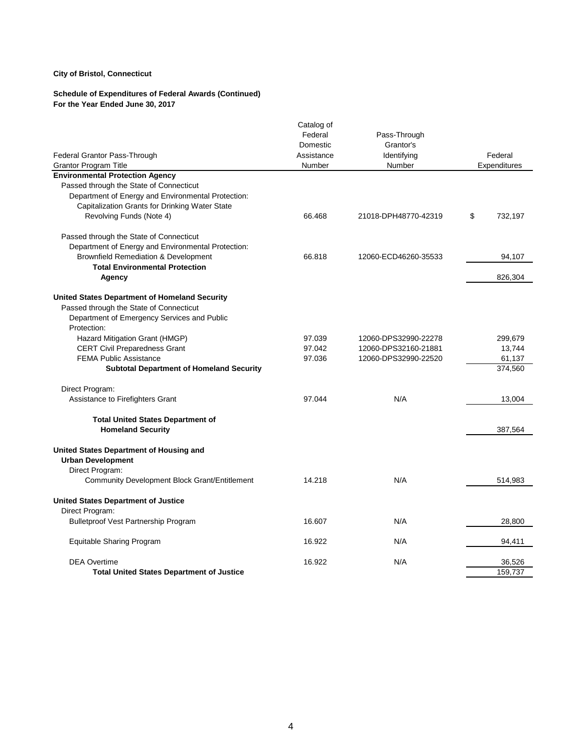#### **Schedule of Expenditures of Federal Awards (Continued) For the Year Ended June 30, 2017**

|                                                    | Catalog of |                      |               |
|----------------------------------------------------|------------|----------------------|---------------|
|                                                    | Federal    | Pass-Through         |               |
|                                                    | Domestic   | Grantor's            |               |
| Federal Grantor Pass-Through                       | Assistance | Identifying          | Federal       |
| <b>Grantor Program Title</b>                       | Number     | Number               | Expenditures  |
| <b>Environmental Protection Agency</b>             |            |                      |               |
| Passed through the State of Connecticut            |            |                      |               |
| Department of Energy and Environmental Protection: |            |                      |               |
| Capitalization Grants for Drinking Water State     |            |                      |               |
| Revolving Funds (Note 4)                           | 66.468     | 21018-DPH48770-42319 | \$<br>732,197 |
| Passed through the State of Connecticut            |            |                      |               |
| Department of Energy and Environmental Protection: |            |                      |               |
| <b>Brownfield Remediation &amp; Development</b>    | 66.818     | 12060-ECD46260-35533 | 94,107        |
| <b>Total Environmental Protection</b>              |            |                      |               |
| Agency                                             |            |                      | 826,304       |
| United States Department of Homeland Security      |            |                      |               |
| Passed through the State of Connecticut            |            |                      |               |
| Department of Emergency Services and Public        |            |                      |               |
| Protection:                                        |            |                      |               |
| Hazard Mitigation Grant (HMGP)                     | 97.039     | 12060-DPS32990-22278 | 299,679       |
| <b>CERT Civil Preparedness Grant</b>               | 97.042     | 12060-DPS32160-21881 | 13,744        |
| <b>FEMA Public Assistance</b>                      | 97.036     | 12060-DPS32990-22520 | 61,137        |
| <b>Subtotal Department of Homeland Security</b>    |            |                      | 374,560       |
| Direct Program:                                    |            |                      |               |
| Assistance to Firefighters Grant                   | 97.044     | N/A                  | 13,004        |
| <b>Total United States Department of</b>           |            |                      |               |
| <b>Homeland Security</b>                           |            |                      | 387,564       |
| United States Department of Housing and            |            |                      |               |
| <b>Urban Development</b>                           |            |                      |               |
| Direct Program:                                    |            |                      |               |
| Community Development Block Grant/Entitlement      | 14.218     | N/A                  | 514,983       |
| <b>United States Department of Justice</b>         |            |                      |               |
| Direct Program:                                    |            |                      |               |
| Bulletproof Vest Partnership Program               | 16.607     | N/A                  | 28,800        |
|                                                    |            |                      |               |
| Equitable Sharing Program                          | 16.922     | N/A                  | 94,411        |
| <b>DEA Overtime</b>                                | 16.922     | N/A                  | 36,526        |
| <b>Total United States Department of Justice</b>   |            |                      | 159,737       |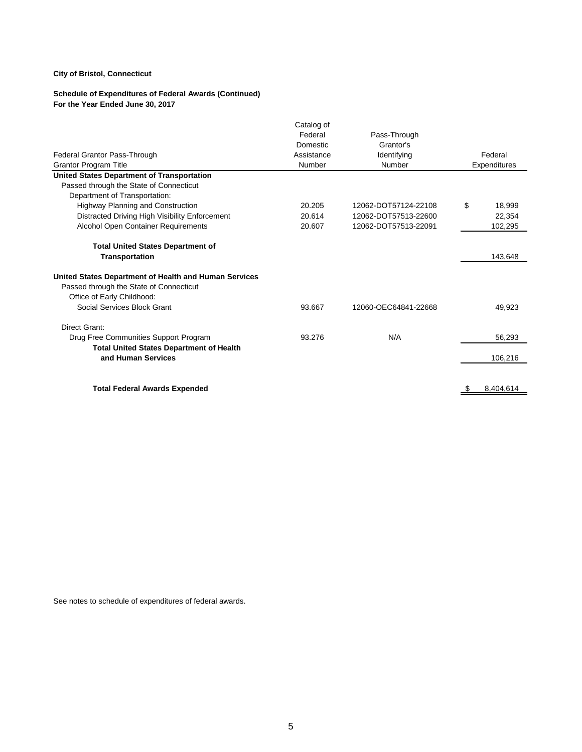#### **Schedule of Expenditures of Federal Awards (Continued) For the Year Ended June 30, 2017**

|                                                                                                                                                               | Catalog of |                      |              |
|---------------------------------------------------------------------------------------------------------------------------------------------------------------|------------|----------------------|--------------|
|                                                                                                                                                               | Federal    | Pass-Through         |              |
|                                                                                                                                                               | Domestic   | Grantor's            |              |
| Federal Grantor Pass-Through                                                                                                                                  | Assistance | Identifying          | Federal      |
| <b>Grantor Program Title</b>                                                                                                                                  | Number     | Number               | Expenditures |
| <b>United States Department of Transportation</b>                                                                                                             |            |                      |              |
| Passed through the State of Connecticut                                                                                                                       |            |                      |              |
| Department of Transportation:                                                                                                                                 |            |                      |              |
| <b>Highway Planning and Construction</b>                                                                                                                      | 20.205     | 12062-DOT57124-22108 | \$<br>18,999 |
| Distracted Driving High Visibility Enforcement                                                                                                                | 20.614     | 12062-DOT57513-22600 | 22,354       |
| Alcohol Open Container Requirements                                                                                                                           | 20.607     | 12062-DOT57513-22091 | 102,295      |
| <b>Total United States Department of</b>                                                                                                                      |            |                      |              |
| <b>Transportation</b>                                                                                                                                         |            |                      | 143.648      |
| United States Department of Health and Human Services<br>Passed through the State of Connecticut<br>Office of Early Childhood:<br>Social Services Block Grant | 93.667     | 12060-OEC64841-22668 | 49.923       |
| Direct Grant:                                                                                                                                                 |            |                      |              |
| Drug Free Communities Support Program                                                                                                                         | 93.276     | N/A                  | 56,293       |
| <b>Total United States Department of Health</b><br>and Human Services                                                                                         |            |                      | 106,216      |
|                                                                                                                                                               |            |                      |              |
| <b>Total Federal Awards Expended</b>                                                                                                                          |            |                      | 8,404,614    |

See notes to schedule of expenditures of federal awards.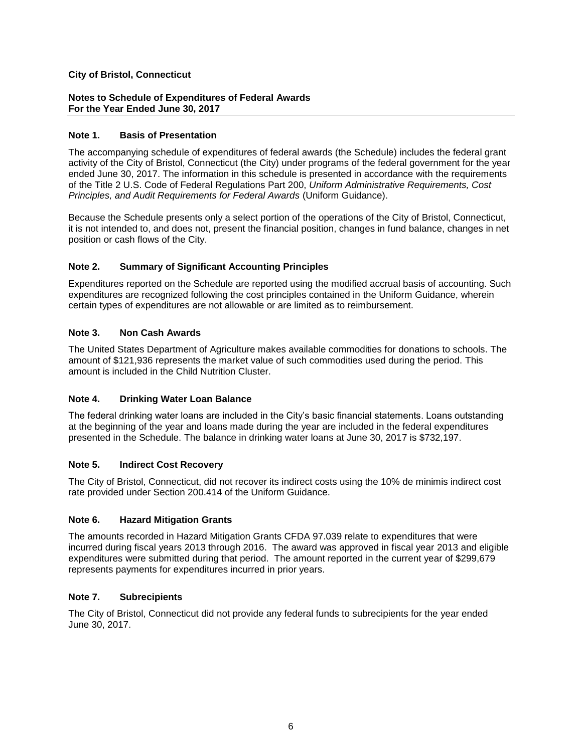## **Notes to Schedule of Expenditures of Federal Awards For the Year Ended June 30, 2017**

## **Note 1. Basis of Presentation**

The accompanying schedule of expenditures of federal awards (the Schedule) includes the federal grant activity of the City of Bristol, Connecticut (the City) under programs of the federal government for the year ended June 30, 2017. The information in this schedule is presented in accordance with the requirements of the Title 2 U.S. Code of Federal Regulations Part 200, *Uniform Administrative Requirements, Cost Principles, and Audit Requirements for Federal Awards* (Uniform Guidance).

Because the Schedule presents only a select portion of the operations of the City of Bristol, Connecticut, it is not intended to, and does not, present the financial position, changes in fund balance, changes in net position or cash flows of the City.

## **Note 2. Summary of Significant Accounting Principles**

Expenditures reported on the Schedule are reported using the modified accrual basis of accounting. Such expenditures are recognized following the cost principles contained in the Uniform Guidance, wherein certain types of expenditures are not allowable or are limited as to reimbursement.

## **Note 3. Non Cash Awards**

The United States Department of Agriculture makes available commodities for donations to schools. The amount of \$121,936 represents the market value of such commodities used during the period. This amount is included in the Child Nutrition Cluster.

## **Note 4. Drinking Water Loan Balance**

The federal drinking water loans are included in the City's basic financial statements. Loans outstanding at the beginning of the year and loans made during the year are included in the federal expenditures presented in the Schedule. The balance in drinking water loans at June 30, 2017 is \$732,197.

## **Note 5. Indirect Cost Recovery**

The City of Bristol, Connecticut, did not recover its indirect costs using the 10% de minimis indirect cost rate provided under Section 200.414 of the Uniform Guidance.

## **Note 6. Hazard Mitigation Grants**

The amounts recorded in Hazard Mitigation Grants CFDA 97.039 relate to expenditures that were incurred during fiscal years 2013 through 2016. The award was approved in fiscal year 2013 and eligible expenditures were submitted during that period. The amount reported in the current year of \$299,679 represents payments for expenditures incurred in prior years.

## **Note 7. Subrecipients**

The City of Bristol, Connecticut did not provide any federal funds to subrecipients for the year ended June 30, 2017.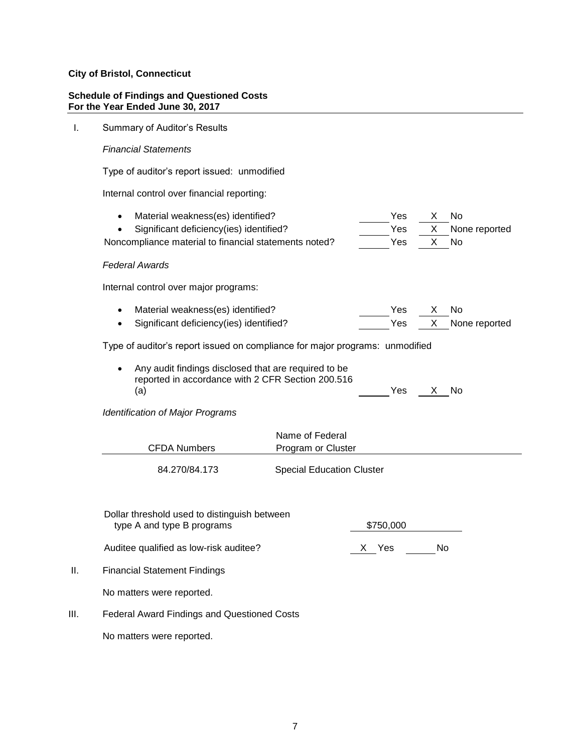#### **Schedule of Findings and Questioned Costs For the Year Ended June 30, 2017**

I. Summary of Auditor's Results

#### *Financial Statements*

Type of auditor's report issued: unmodified

Internal control over financial reporting:

- Material weakness(es) identified? The Material Wes X No • Significant deficiency(ies) identified? Yes X None reported Noncompliance material to financial statements noted? Yes X No *Federal Awards* Internal control over major programs:
	- Material weakness(es) identified? The Material weakness and the Material Material of Material Material Material Material Material Material Material Material Material Material Material Material Material Material Material
	- Significant deficiency(ies) identified? Yes X None reported

Type of auditor's report issued on compliance for major programs: unmodified

 Any audit findings disclosed that are required to be reported in accordance with 2 CFR Section 200.516 (a) Yes X No

*Identification of Major Programs*

|                     | Name of Federal                  |
|---------------------|----------------------------------|
| <b>CFDA Numbers</b> | Program or Cluster               |
| 84.270/84.173       | <b>Special Education Cluster</b> |

| \$750,000 |
|-----------|
|           |
| Nο        |
| Yes       |

II. Financial Statement Findings

No matters were reported.

III. Federal Award Findings and Questioned Costs

No matters were reported.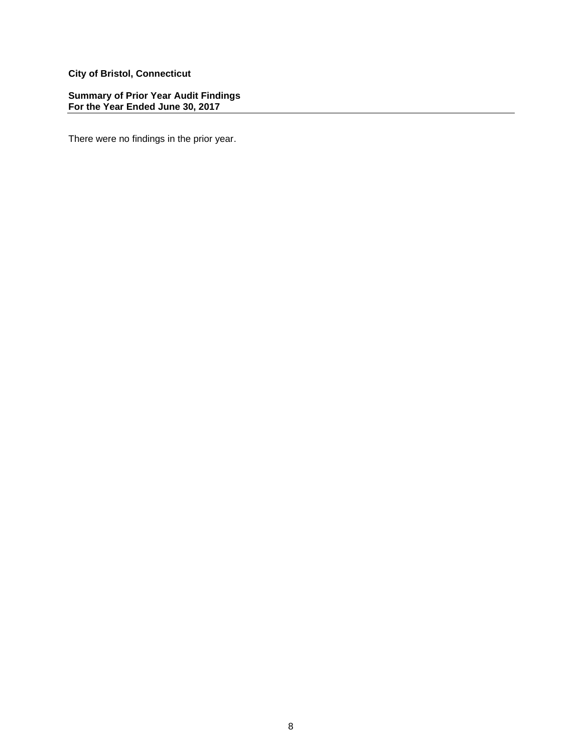#### **Summary of Prior Year Audit Findings For the Year Ended June 30, 2017**

There were no findings in the prior year.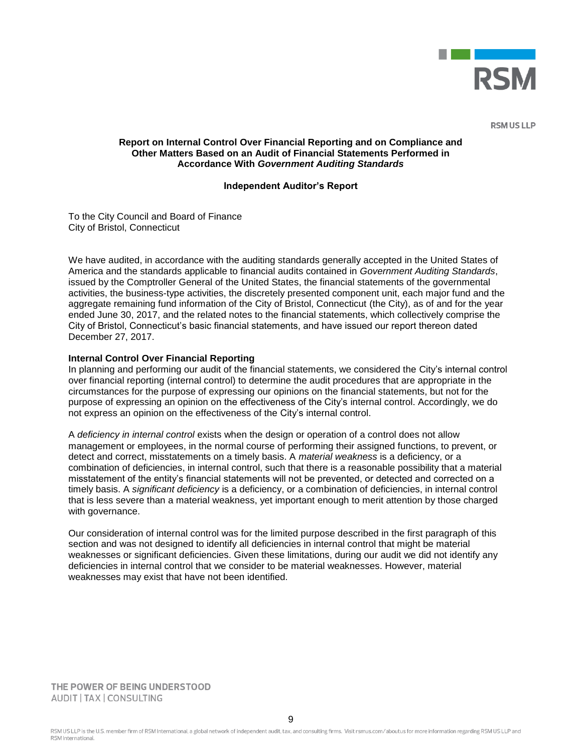

**RSM US LLP** 

## **Report on Internal Control Over Financial Reporting and on Compliance and Other Matters Based on an Audit of Financial Statements Performed in Accordance With** *Government Auditing Standards*

#### **Independent Auditor's Report**

To the City Council and Board of Finance City of Bristol, Connecticut

We have audited, in accordance with the auditing standards generally accepted in the United States of America and the standards applicable to financial audits contained in *Government Auditing Standards*, issued by the Comptroller General of the United States, the financial statements of the governmental activities, the business-type activities, the discretely presented component unit, each major fund and the aggregate remaining fund information of the City of Bristol, Connecticut (the City), as of and for the year ended June 30, 2017, and the related notes to the financial statements, which collectively comprise the City of Bristol, Connecticut's basic financial statements, and have issued our report thereon dated December 27, 2017.

#### **Internal Control Over Financial Reporting**

In planning and performing our audit of the financial statements, we considered the City's internal control over financial reporting (internal control) to determine the audit procedures that are appropriate in the circumstances for the purpose of expressing our opinions on the financial statements, but not for the purpose of expressing an opinion on the effectiveness of the City's internal control. Accordingly, we do not express an opinion on the effectiveness of the City's internal control.

A *deficiency in internal control* exists when the design or operation of a control does not allow management or employees, in the normal course of performing their assigned functions, to prevent, or detect and correct, misstatements on a timely basis. A *material weakness* is a deficiency, or a combination of deficiencies, in internal control, such that there is a reasonable possibility that a material misstatement of the entity's financial statements will not be prevented, or detected and corrected on a timely basis. A *significant deficiency* is a deficiency, or a combination of deficiencies, in internal control that is less severe than a material weakness, yet important enough to merit attention by those charged with governance.

Our consideration of internal control was for the limited purpose described in the first paragraph of this section and was not designed to identify all deficiencies in internal control that might be material weaknesses or significant deficiencies. Given these limitations, during our audit we did not identify any deficiencies in internal control that we consider to be material weaknesses. However, material weaknesses may exist that have not been identified.

THE POWER OF BEING UNDERSTOOD AUDIT | TAX | CONSULTING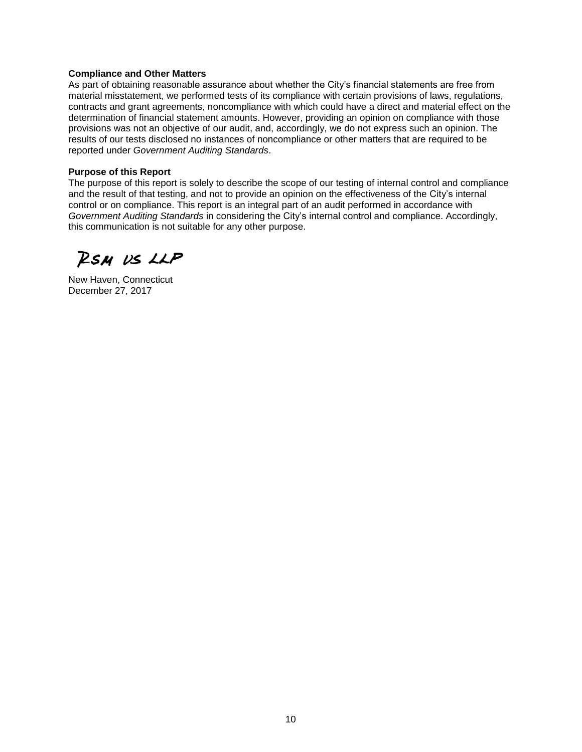## **Compliance and Other Matters**

As part of obtaining reasonable assurance about whether the City's financial statements are free from material misstatement, we performed tests of its compliance with certain provisions of laws, regulations, contracts and grant agreements, noncompliance with which could have a direct and material effect on the determination of financial statement amounts. However, providing an opinion on compliance with those provisions was not an objective of our audit, and, accordingly, we do not express such an opinion. The results of our tests disclosed no instances of noncompliance or other matters that are required to be reported under *Government Auditing Standards*.

## **Purpose of this Report**

The purpose of this report is solely to describe the scope of our testing of internal control and compliance and the result of that testing, and not to provide an opinion on the effectiveness of the City's internal control or on compliance. This report is an integral part of an audit performed in accordance with *Government Auditing Standards* in considering the City's internal control and compliance. Accordingly, this communication is not suitable for any other purpose.

RSM US LLP

New Haven, Connecticut December 27, 2017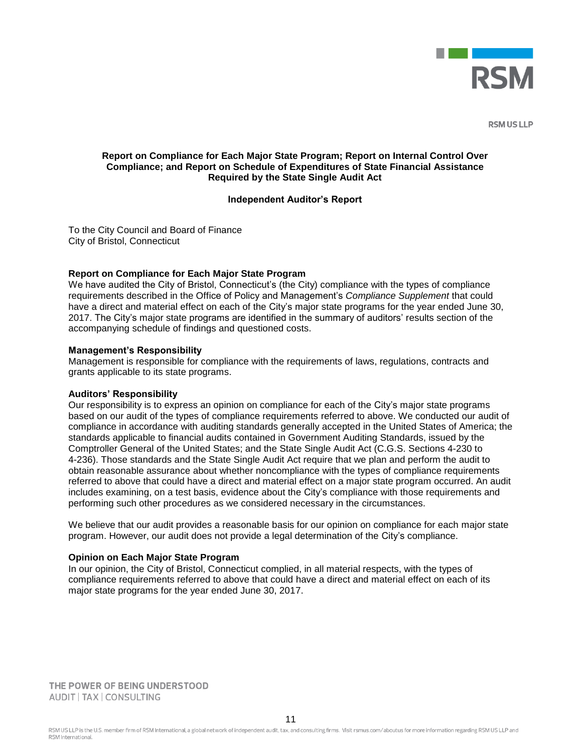

**DSMIISIID** 

## **Report on Compliance for Each Major State Program; Report on Internal Control Over Compliance; and Report on Schedule of Expenditures of State Financial Assistance Required by the State Single Audit Act**

#### **Independent Auditor's Report**

To the City Council and Board of Finance City of Bristol, Connecticut

## **Report on Compliance for Each Major State Program**

We have audited the City of Bristol, Connecticut's (the City) compliance with the types of compliance requirements described in the Office of Policy and Management's *Compliance Supplement* that could have a direct and material effect on each of the City's major state programs for the year ended June 30, 2017. The City's major state programs are identified in the summary of auditors' results section of the accompanying schedule of findings and questioned costs.

#### **Management's Responsibility**

Management is responsible for compliance with the requirements of laws, regulations, contracts and grants applicable to its state programs.

#### **Auditors' Responsibility**

Our responsibility is to express an opinion on compliance for each of the City's major state programs based on our audit of the types of compliance requirements referred to above. We conducted our audit of compliance in accordance with auditing standards generally accepted in the United States of America; the standards applicable to financial audits contained in Government Auditing Standards, issued by the Comptroller General of the United States; and the State Single Audit Act (C.G.S. Sections 4-230 to 4-236). Those standards and the State Single Audit Act require that we plan and perform the audit to obtain reasonable assurance about whether noncompliance with the types of compliance requirements referred to above that could have a direct and material effect on a major state program occurred. An audit includes examining, on a test basis, evidence about the City's compliance with those requirements and performing such other procedures as we considered necessary in the circumstances.

We believe that our audit provides a reasonable basis for our opinion on compliance for each major state program. However, our audit does not provide a legal determination of the City's compliance.

## **Opinion on Each Major State Program**

In our opinion, the City of Bristol, Connecticut complied, in all material respects, with the types of compliance requirements referred to above that could have a direct and material effect on each of its major state programs for the year ended June 30, 2017.

THE POWER OF BEING UNDERSTOOD AUDIT | TAX | CONSULTING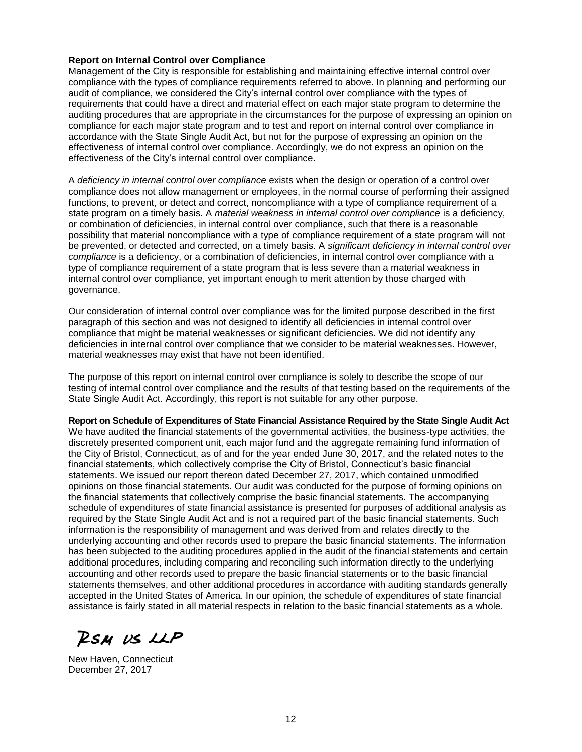#### **Report on Internal Control over Compliance**

Management of the City is responsible for establishing and maintaining effective internal control over compliance with the types of compliance requirements referred to above. In planning and performing our audit of compliance, we considered the City's internal control over compliance with the types of requirements that could have a direct and material effect on each major state program to determine the auditing procedures that are appropriate in the circumstances for the purpose of expressing an opinion on compliance for each major state program and to test and report on internal control over compliance in accordance with the State Single Audit Act, but not for the purpose of expressing an opinion on the effectiveness of internal control over compliance. Accordingly, we do not express an opinion on the effectiveness of the City's internal control over compliance.

A *deficiency in internal control over compliance* exists when the design or operation of a control over compliance does not allow management or employees, in the normal course of performing their assigned functions, to prevent, or detect and correct, noncompliance with a type of compliance requirement of a state program on a timely basis. A *material weakness in internal control over compliance* is a deficiency, or combination of deficiencies, in internal control over compliance, such that there is a reasonable possibility that material noncompliance with a type of compliance requirement of a state program will not be prevented, or detected and corrected, on a timely basis. A *significant deficiency in internal control over compliance* is a deficiency, or a combination of deficiencies, in internal control over compliance with a type of compliance requirement of a state program that is less severe than a material weakness in internal control over compliance, yet important enough to merit attention by those charged with governance.

Our consideration of internal control over compliance was for the limited purpose described in the first paragraph of this section and was not designed to identify all deficiencies in internal control over compliance that might be material weaknesses or significant deficiencies. We did not identify any deficiencies in internal control over compliance that we consider to be material weaknesses. However, material weaknesses may exist that have not been identified.

The purpose of this report on internal control over compliance is solely to describe the scope of our testing of internal control over compliance and the results of that testing based on the requirements of the State Single Audit Act. Accordingly, this report is not suitable for any other purpose.

**Report on Schedule of Expenditures of State Financial Assistance Required by the State Single Audit Act** We have audited the financial statements of the governmental activities, the business-type activities, the discretely presented component unit, each major fund and the aggregate remaining fund information of the City of Bristol, Connecticut, as of and for the year ended June 30, 2017, and the related notes to the financial statements, which collectively comprise the City of Bristol, Connecticut's basic financial statements. We issued our report thereon dated December 27, 2017, which contained unmodified opinions on those financial statements. Our audit was conducted for the purpose of forming opinions on the financial statements that collectively comprise the basic financial statements. The accompanying schedule of expenditures of state financial assistance is presented for purposes of additional analysis as required by the State Single Audit Act and is not a required part of the basic financial statements. Such information is the responsibility of management and was derived from and relates directly to the underlying accounting and other records used to prepare the basic financial statements. The information has been subjected to the auditing procedures applied in the audit of the financial statements and certain additional procedures, including comparing and reconciling such information directly to the underlying accounting and other records used to prepare the basic financial statements or to the basic financial statements themselves, and other additional procedures in accordance with auditing standards generally accepted in the United States of America. In our opinion, the schedule of expenditures of state financial assistance is fairly stated in all material respects in relation to the basic financial statements as a whole.

**RSM US LLP** 

New Haven, Connecticut December 27, 2017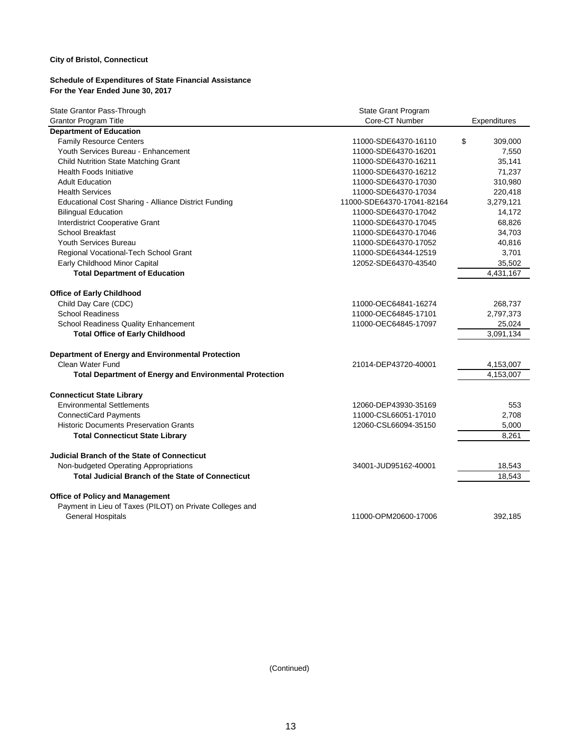## **Schedule of Expenditures of State Financial Assistance For the Year Ended June 30, 2017**

| Core-CT Number<br><b>Grantor Program Title</b><br>Expenditures<br><b>Department of Education</b><br><b>Family Resource Centers</b><br>\$<br>11000-SDE64370-16110<br>309,000<br>Youth Services Bureau - Enhancement<br>11000-SDE64370-16201<br>7,550<br><b>Child Nutrition State Matching Grant</b><br>11000-SDE64370-16211<br>35,141<br><b>Health Foods Initiative</b><br>11000-SDE64370-16212<br>71,237<br><b>Adult Education</b><br>11000-SDE64370-17030<br>310,980<br><b>Health Services</b><br>11000-SDE64370-17034<br>220,418<br>Educational Cost Sharing - Alliance District Funding<br>11000-SDE64370-17041-82164<br>3,279,121<br><b>Bilingual Education</b><br>11000-SDE64370-17042<br>14,172<br><b>Interdistrict Cooperative Grant</b><br>11000-SDE64370-17045<br>68,826<br><b>School Breakfast</b><br>11000-SDE64370-17046<br>34,703<br>Youth Services Bureau<br>11000-SDE64370-17052<br>40,816<br>Regional Vocational-Tech School Grant<br>11000-SDE64344-12519<br>3,701<br>Early Childhood Minor Capital<br>12052-SDE64370-43540<br>35,502<br>4,431,167<br><b>Total Department of Education</b><br><b>Office of Early Childhood</b><br>Child Day Care (CDC)<br>11000-OEC64841-16274<br>268,737<br><b>School Readiness</b><br>11000-OEC64845-17101<br>2,797,373<br>School Readiness Quality Enhancement<br>11000-OEC64845-17097<br>25,024<br><b>Total Office of Early Childhood</b><br>3,091,134<br>Department of Energy and Environmental Protection<br>Clean Water Fund<br>21014-DEP43720-40001<br>4,153,007<br><b>Total Department of Energy and Environmental Protection</b><br>4,153,007<br><b>Connecticut State Library</b><br><b>Environmental Settlements</b><br>12060-DEP43930-35169<br>553<br><b>ConnectiCard Payments</b><br>11000-CSL66051-17010<br>2,708<br>12060-CSL66094-35150<br><b>Historic Documents Preservation Grants</b><br>5,000<br><b>Total Connecticut State Library</b><br>8,261<br><b>Judicial Branch of the State of Connecticut</b><br>Non-budgeted Operating Appropriations<br>34001-JUD95162-40001<br>18,543<br><b>Total Judicial Branch of the State of Connecticut</b><br>18,543<br><b>Office of Policy and Management</b><br>Payment in Lieu of Taxes (PILOT) on Private Colleges and<br><b>General Hospitals</b><br>11000-OPM20600-17006<br>392,185 | State Grantor Pass-Through | <b>State Grant Program</b> |  |
|---------------------------------------------------------------------------------------------------------------------------------------------------------------------------------------------------------------------------------------------------------------------------------------------------------------------------------------------------------------------------------------------------------------------------------------------------------------------------------------------------------------------------------------------------------------------------------------------------------------------------------------------------------------------------------------------------------------------------------------------------------------------------------------------------------------------------------------------------------------------------------------------------------------------------------------------------------------------------------------------------------------------------------------------------------------------------------------------------------------------------------------------------------------------------------------------------------------------------------------------------------------------------------------------------------------------------------------------------------------------------------------------------------------------------------------------------------------------------------------------------------------------------------------------------------------------------------------------------------------------------------------------------------------------------------------------------------------------------------------------------------------------------------------------------------------------------------------------------------------------------------------------------------------------------------------------------------------------------------------------------------------------------------------------------------------------------------------------------------------------------------------------------------------------------------------------------------------------------------------------------------------------------------------------------|----------------------------|----------------------------|--|
|                                                                                                                                                                                                                                                                                                                                                                                                                                                                                                                                                                                                                                                                                                                                                                                                                                                                                                                                                                                                                                                                                                                                                                                                                                                                                                                                                                                                                                                                                                                                                                                                                                                                                                                                                                                                                                                                                                                                                                                                                                                                                                                                                                                                                                                                                                   |                            |                            |  |
|                                                                                                                                                                                                                                                                                                                                                                                                                                                                                                                                                                                                                                                                                                                                                                                                                                                                                                                                                                                                                                                                                                                                                                                                                                                                                                                                                                                                                                                                                                                                                                                                                                                                                                                                                                                                                                                                                                                                                                                                                                                                                                                                                                                                                                                                                                   |                            |                            |  |
|                                                                                                                                                                                                                                                                                                                                                                                                                                                                                                                                                                                                                                                                                                                                                                                                                                                                                                                                                                                                                                                                                                                                                                                                                                                                                                                                                                                                                                                                                                                                                                                                                                                                                                                                                                                                                                                                                                                                                                                                                                                                                                                                                                                                                                                                                                   |                            |                            |  |
|                                                                                                                                                                                                                                                                                                                                                                                                                                                                                                                                                                                                                                                                                                                                                                                                                                                                                                                                                                                                                                                                                                                                                                                                                                                                                                                                                                                                                                                                                                                                                                                                                                                                                                                                                                                                                                                                                                                                                                                                                                                                                                                                                                                                                                                                                                   |                            |                            |  |
|                                                                                                                                                                                                                                                                                                                                                                                                                                                                                                                                                                                                                                                                                                                                                                                                                                                                                                                                                                                                                                                                                                                                                                                                                                                                                                                                                                                                                                                                                                                                                                                                                                                                                                                                                                                                                                                                                                                                                                                                                                                                                                                                                                                                                                                                                                   |                            |                            |  |
|                                                                                                                                                                                                                                                                                                                                                                                                                                                                                                                                                                                                                                                                                                                                                                                                                                                                                                                                                                                                                                                                                                                                                                                                                                                                                                                                                                                                                                                                                                                                                                                                                                                                                                                                                                                                                                                                                                                                                                                                                                                                                                                                                                                                                                                                                                   |                            |                            |  |
|                                                                                                                                                                                                                                                                                                                                                                                                                                                                                                                                                                                                                                                                                                                                                                                                                                                                                                                                                                                                                                                                                                                                                                                                                                                                                                                                                                                                                                                                                                                                                                                                                                                                                                                                                                                                                                                                                                                                                                                                                                                                                                                                                                                                                                                                                                   |                            |                            |  |
|                                                                                                                                                                                                                                                                                                                                                                                                                                                                                                                                                                                                                                                                                                                                                                                                                                                                                                                                                                                                                                                                                                                                                                                                                                                                                                                                                                                                                                                                                                                                                                                                                                                                                                                                                                                                                                                                                                                                                                                                                                                                                                                                                                                                                                                                                                   |                            |                            |  |
|                                                                                                                                                                                                                                                                                                                                                                                                                                                                                                                                                                                                                                                                                                                                                                                                                                                                                                                                                                                                                                                                                                                                                                                                                                                                                                                                                                                                                                                                                                                                                                                                                                                                                                                                                                                                                                                                                                                                                                                                                                                                                                                                                                                                                                                                                                   |                            |                            |  |
|                                                                                                                                                                                                                                                                                                                                                                                                                                                                                                                                                                                                                                                                                                                                                                                                                                                                                                                                                                                                                                                                                                                                                                                                                                                                                                                                                                                                                                                                                                                                                                                                                                                                                                                                                                                                                                                                                                                                                                                                                                                                                                                                                                                                                                                                                                   |                            |                            |  |
|                                                                                                                                                                                                                                                                                                                                                                                                                                                                                                                                                                                                                                                                                                                                                                                                                                                                                                                                                                                                                                                                                                                                                                                                                                                                                                                                                                                                                                                                                                                                                                                                                                                                                                                                                                                                                                                                                                                                                                                                                                                                                                                                                                                                                                                                                                   |                            |                            |  |
|                                                                                                                                                                                                                                                                                                                                                                                                                                                                                                                                                                                                                                                                                                                                                                                                                                                                                                                                                                                                                                                                                                                                                                                                                                                                                                                                                                                                                                                                                                                                                                                                                                                                                                                                                                                                                                                                                                                                                                                                                                                                                                                                                                                                                                                                                                   |                            |                            |  |
|                                                                                                                                                                                                                                                                                                                                                                                                                                                                                                                                                                                                                                                                                                                                                                                                                                                                                                                                                                                                                                                                                                                                                                                                                                                                                                                                                                                                                                                                                                                                                                                                                                                                                                                                                                                                                                                                                                                                                                                                                                                                                                                                                                                                                                                                                                   |                            |                            |  |
|                                                                                                                                                                                                                                                                                                                                                                                                                                                                                                                                                                                                                                                                                                                                                                                                                                                                                                                                                                                                                                                                                                                                                                                                                                                                                                                                                                                                                                                                                                                                                                                                                                                                                                                                                                                                                                                                                                                                                                                                                                                                                                                                                                                                                                                                                                   |                            |                            |  |
|                                                                                                                                                                                                                                                                                                                                                                                                                                                                                                                                                                                                                                                                                                                                                                                                                                                                                                                                                                                                                                                                                                                                                                                                                                                                                                                                                                                                                                                                                                                                                                                                                                                                                                                                                                                                                                                                                                                                                                                                                                                                                                                                                                                                                                                                                                   |                            |                            |  |
|                                                                                                                                                                                                                                                                                                                                                                                                                                                                                                                                                                                                                                                                                                                                                                                                                                                                                                                                                                                                                                                                                                                                                                                                                                                                                                                                                                                                                                                                                                                                                                                                                                                                                                                                                                                                                                                                                                                                                                                                                                                                                                                                                                                                                                                                                                   |                            |                            |  |
|                                                                                                                                                                                                                                                                                                                                                                                                                                                                                                                                                                                                                                                                                                                                                                                                                                                                                                                                                                                                                                                                                                                                                                                                                                                                                                                                                                                                                                                                                                                                                                                                                                                                                                                                                                                                                                                                                                                                                                                                                                                                                                                                                                                                                                                                                                   |                            |                            |  |
|                                                                                                                                                                                                                                                                                                                                                                                                                                                                                                                                                                                                                                                                                                                                                                                                                                                                                                                                                                                                                                                                                                                                                                                                                                                                                                                                                                                                                                                                                                                                                                                                                                                                                                                                                                                                                                                                                                                                                                                                                                                                                                                                                                                                                                                                                                   |                            |                            |  |
|                                                                                                                                                                                                                                                                                                                                                                                                                                                                                                                                                                                                                                                                                                                                                                                                                                                                                                                                                                                                                                                                                                                                                                                                                                                                                                                                                                                                                                                                                                                                                                                                                                                                                                                                                                                                                                                                                                                                                                                                                                                                                                                                                                                                                                                                                                   |                            |                            |  |
|                                                                                                                                                                                                                                                                                                                                                                                                                                                                                                                                                                                                                                                                                                                                                                                                                                                                                                                                                                                                                                                                                                                                                                                                                                                                                                                                                                                                                                                                                                                                                                                                                                                                                                                                                                                                                                                                                                                                                                                                                                                                                                                                                                                                                                                                                                   |                            |                            |  |
|                                                                                                                                                                                                                                                                                                                                                                                                                                                                                                                                                                                                                                                                                                                                                                                                                                                                                                                                                                                                                                                                                                                                                                                                                                                                                                                                                                                                                                                                                                                                                                                                                                                                                                                                                                                                                                                                                                                                                                                                                                                                                                                                                                                                                                                                                                   |                            |                            |  |
|                                                                                                                                                                                                                                                                                                                                                                                                                                                                                                                                                                                                                                                                                                                                                                                                                                                                                                                                                                                                                                                                                                                                                                                                                                                                                                                                                                                                                                                                                                                                                                                                                                                                                                                                                                                                                                                                                                                                                                                                                                                                                                                                                                                                                                                                                                   |                            |                            |  |
|                                                                                                                                                                                                                                                                                                                                                                                                                                                                                                                                                                                                                                                                                                                                                                                                                                                                                                                                                                                                                                                                                                                                                                                                                                                                                                                                                                                                                                                                                                                                                                                                                                                                                                                                                                                                                                                                                                                                                                                                                                                                                                                                                                                                                                                                                                   |                            |                            |  |
|                                                                                                                                                                                                                                                                                                                                                                                                                                                                                                                                                                                                                                                                                                                                                                                                                                                                                                                                                                                                                                                                                                                                                                                                                                                                                                                                                                                                                                                                                                                                                                                                                                                                                                                                                                                                                                                                                                                                                                                                                                                                                                                                                                                                                                                                                                   |                            |                            |  |
|                                                                                                                                                                                                                                                                                                                                                                                                                                                                                                                                                                                                                                                                                                                                                                                                                                                                                                                                                                                                                                                                                                                                                                                                                                                                                                                                                                                                                                                                                                                                                                                                                                                                                                                                                                                                                                                                                                                                                                                                                                                                                                                                                                                                                                                                                                   |                            |                            |  |
|                                                                                                                                                                                                                                                                                                                                                                                                                                                                                                                                                                                                                                                                                                                                                                                                                                                                                                                                                                                                                                                                                                                                                                                                                                                                                                                                                                                                                                                                                                                                                                                                                                                                                                                                                                                                                                                                                                                                                                                                                                                                                                                                                                                                                                                                                                   |                            |                            |  |
|                                                                                                                                                                                                                                                                                                                                                                                                                                                                                                                                                                                                                                                                                                                                                                                                                                                                                                                                                                                                                                                                                                                                                                                                                                                                                                                                                                                                                                                                                                                                                                                                                                                                                                                                                                                                                                                                                                                                                                                                                                                                                                                                                                                                                                                                                                   |                            |                            |  |
|                                                                                                                                                                                                                                                                                                                                                                                                                                                                                                                                                                                                                                                                                                                                                                                                                                                                                                                                                                                                                                                                                                                                                                                                                                                                                                                                                                                                                                                                                                                                                                                                                                                                                                                                                                                                                                                                                                                                                                                                                                                                                                                                                                                                                                                                                                   |                            |                            |  |
|                                                                                                                                                                                                                                                                                                                                                                                                                                                                                                                                                                                                                                                                                                                                                                                                                                                                                                                                                                                                                                                                                                                                                                                                                                                                                                                                                                                                                                                                                                                                                                                                                                                                                                                                                                                                                                                                                                                                                                                                                                                                                                                                                                                                                                                                                                   |                            |                            |  |
|                                                                                                                                                                                                                                                                                                                                                                                                                                                                                                                                                                                                                                                                                                                                                                                                                                                                                                                                                                                                                                                                                                                                                                                                                                                                                                                                                                                                                                                                                                                                                                                                                                                                                                                                                                                                                                                                                                                                                                                                                                                                                                                                                                                                                                                                                                   |                            |                            |  |
|                                                                                                                                                                                                                                                                                                                                                                                                                                                                                                                                                                                                                                                                                                                                                                                                                                                                                                                                                                                                                                                                                                                                                                                                                                                                                                                                                                                                                                                                                                                                                                                                                                                                                                                                                                                                                                                                                                                                                                                                                                                                                                                                                                                                                                                                                                   |                            |                            |  |
|                                                                                                                                                                                                                                                                                                                                                                                                                                                                                                                                                                                                                                                                                                                                                                                                                                                                                                                                                                                                                                                                                                                                                                                                                                                                                                                                                                                                                                                                                                                                                                                                                                                                                                                                                                                                                                                                                                                                                                                                                                                                                                                                                                                                                                                                                                   |                            |                            |  |
|                                                                                                                                                                                                                                                                                                                                                                                                                                                                                                                                                                                                                                                                                                                                                                                                                                                                                                                                                                                                                                                                                                                                                                                                                                                                                                                                                                                                                                                                                                                                                                                                                                                                                                                                                                                                                                                                                                                                                                                                                                                                                                                                                                                                                                                                                                   |                            |                            |  |
|                                                                                                                                                                                                                                                                                                                                                                                                                                                                                                                                                                                                                                                                                                                                                                                                                                                                                                                                                                                                                                                                                                                                                                                                                                                                                                                                                                                                                                                                                                                                                                                                                                                                                                                                                                                                                                                                                                                                                                                                                                                                                                                                                                                                                                                                                                   |                            |                            |  |
|                                                                                                                                                                                                                                                                                                                                                                                                                                                                                                                                                                                                                                                                                                                                                                                                                                                                                                                                                                                                                                                                                                                                                                                                                                                                                                                                                                                                                                                                                                                                                                                                                                                                                                                                                                                                                                                                                                                                                                                                                                                                                                                                                                                                                                                                                                   |                            |                            |  |
|                                                                                                                                                                                                                                                                                                                                                                                                                                                                                                                                                                                                                                                                                                                                                                                                                                                                                                                                                                                                                                                                                                                                                                                                                                                                                                                                                                                                                                                                                                                                                                                                                                                                                                                                                                                                                                                                                                                                                                                                                                                                                                                                                                                                                                                                                                   |                            |                            |  |
|                                                                                                                                                                                                                                                                                                                                                                                                                                                                                                                                                                                                                                                                                                                                                                                                                                                                                                                                                                                                                                                                                                                                                                                                                                                                                                                                                                                                                                                                                                                                                                                                                                                                                                                                                                                                                                                                                                                                                                                                                                                                                                                                                                                                                                                                                                   |                            |                            |  |
|                                                                                                                                                                                                                                                                                                                                                                                                                                                                                                                                                                                                                                                                                                                                                                                                                                                                                                                                                                                                                                                                                                                                                                                                                                                                                                                                                                                                                                                                                                                                                                                                                                                                                                                                                                                                                                                                                                                                                                                                                                                                                                                                                                                                                                                                                                   |                            |                            |  |
|                                                                                                                                                                                                                                                                                                                                                                                                                                                                                                                                                                                                                                                                                                                                                                                                                                                                                                                                                                                                                                                                                                                                                                                                                                                                                                                                                                                                                                                                                                                                                                                                                                                                                                                                                                                                                                                                                                                                                                                                                                                                                                                                                                                                                                                                                                   |                            |                            |  |

(Continued)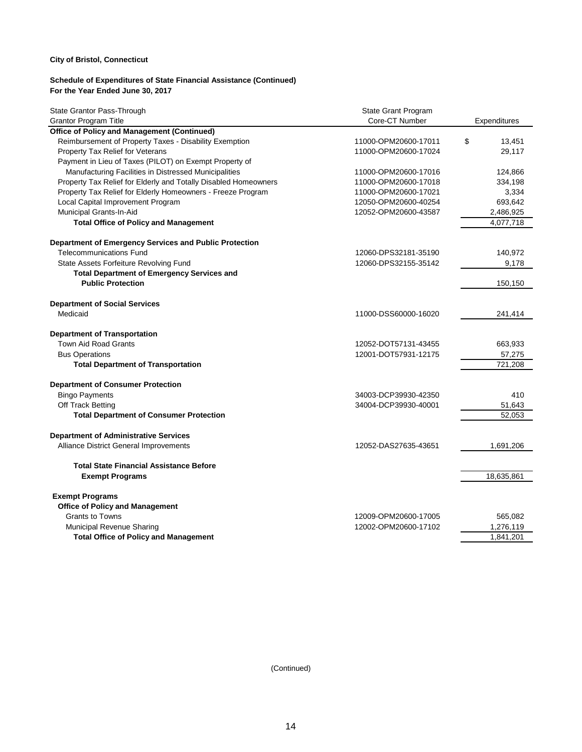## **Schedule of Expenditures of State Financial Assistance (Continued) For the Year Ended June 30, 2017**

| State Grantor Pass-Through                                      | <b>State Grant Program</b> |              |  |
|-----------------------------------------------------------------|----------------------------|--------------|--|
| <b>Grantor Program Title</b>                                    | Core-CT Number             | Expenditures |  |
| <b>Office of Policy and Management (Continued)</b>              |                            |              |  |
| Reimbursement of Property Taxes - Disability Exemption          | 11000-OPM20600-17011       | \$<br>13,451 |  |
| Property Tax Relief for Veterans                                | 11000-OPM20600-17024       | 29,117       |  |
| Payment in Lieu of Taxes (PILOT) on Exempt Property of          |                            |              |  |
| Manufacturing Facilities in Distressed Municipalities           | 11000-OPM20600-17016       | 124,866      |  |
| Property Tax Relief for Elderly and Totally Disabled Homeowners | 11000-OPM20600-17018       | 334,198      |  |
| Property Tax Relief for Elderly Homeowners - Freeze Program     | 11000-OPM20600-17021       | 3,334        |  |
| Local Capital Improvement Program                               | 12050-OPM20600-40254       | 693,642      |  |
| Municipal Grants-In-Aid                                         | 12052-OPM20600-43587       | 2,486,925    |  |
| <b>Total Office of Policy and Management</b>                    |                            | 4,077,718    |  |
| <b>Department of Emergency Services and Public Protection</b>   |                            |              |  |
| <b>Telecommunications Fund</b>                                  | 12060-DPS32181-35190       | 140,972      |  |
| State Assets Forfeiture Revolving Fund                          | 12060-DPS32155-35142       | 9,178        |  |
| <b>Total Department of Emergency Services and</b>               |                            |              |  |
| <b>Public Protection</b>                                        |                            | 150,150      |  |
| <b>Department of Social Services</b>                            |                            |              |  |
| Medicaid                                                        | 11000-DSS60000-16020       | 241,414      |  |
| <b>Department of Transportation</b>                             |                            |              |  |
| Town Aid Road Grants                                            | 12052-DOT57131-43455       | 663,933      |  |
| <b>Bus Operations</b>                                           | 12001-DOT57931-12175       | 57,275       |  |
| <b>Total Department of Transportation</b>                       |                            | 721,208      |  |
| <b>Department of Consumer Protection</b>                        |                            |              |  |
| <b>Bingo Payments</b>                                           | 34003-DCP39930-42350       | 410          |  |
| Off Track Betting                                               | 34004-DCP39930-40001       | 51,643       |  |
| <b>Total Department of Consumer Protection</b>                  |                            | 52,053       |  |
| <b>Department of Administrative Services</b>                    |                            |              |  |
| <b>Alliance District General Improvements</b>                   | 12052-DAS27635-43651       | 1,691,206    |  |
| <b>Total State Financial Assistance Before</b>                  |                            |              |  |
| <b>Exempt Programs</b>                                          |                            | 18,635,861   |  |
| <b>Exempt Programs</b>                                          |                            |              |  |
| <b>Office of Policy and Management</b>                          |                            |              |  |
| <b>Grants to Towns</b>                                          | 12009-OPM20600-17005       | 565,082      |  |
| Municipal Revenue Sharing                                       | 12002-OPM20600-17102       | 1,276,119    |  |
| <b>Total Office of Policy and Management</b>                    |                            | 1,841,201    |  |
|                                                                 |                            |              |  |

(Continued)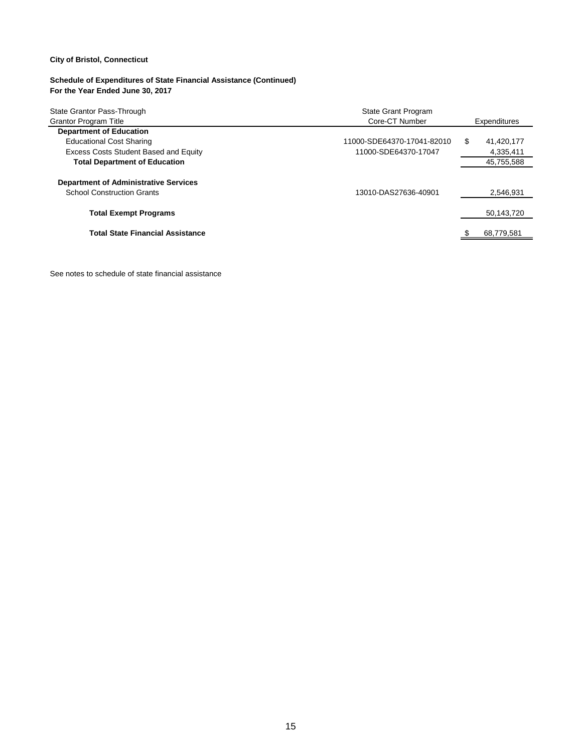#### **Schedule of Expenditures of State Financial Assistance (Continued) For the Year Ended June 30, 2017**

| State Grantor Pass-Through                   | <b>State Grant Program</b> |              |            |
|----------------------------------------------|----------------------------|--------------|------------|
| <b>Grantor Program Title</b>                 | Core-CT Number             | Expenditures |            |
| <b>Department of Education</b>               |                            |              |            |
| <b>Educational Cost Sharing</b>              | 11000-SDE64370-17041-82010 | \$           | 41,420,177 |
| Excess Costs Student Based and Equity        | 11000-SDE64370-17047       |              | 4,335,411  |
| <b>Total Department of Education</b>         |                            |              | 45,755,588 |
| <b>Department of Administrative Services</b> |                            |              |            |
| <b>School Construction Grants</b>            | 13010-DAS27636-40901       |              | 2,546,931  |
| <b>Total Exempt Programs</b>                 |                            |              | 50,143,720 |
| Total State Financial Assistance             |                            |              | 68.779.581 |

See notes to schedule of state financial assistance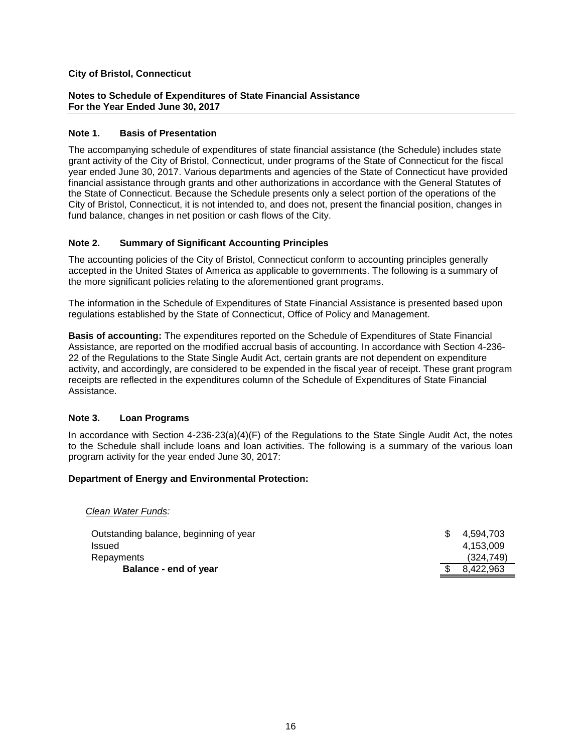## **Notes to Schedule of Expenditures of State Financial Assistance For the Year Ended June 30, 2017**

## **Note 1. Basis of Presentation**

The accompanying schedule of expenditures of state financial assistance (the Schedule) includes state grant activity of the City of Bristol, Connecticut, under programs of the State of Connecticut for the fiscal year ended June 30, 2017. Various departments and agencies of the State of Connecticut have provided financial assistance through grants and other authorizations in accordance with the General Statutes of the State of Connecticut. Because the Schedule presents only a select portion of the operations of the City of Bristol, Connecticut, it is not intended to, and does not, present the financial position, changes in fund balance, changes in net position or cash flows of the City.

## **Note 2. Summary of Significant Accounting Principles**

The accounting policies of the City of Bristol, Connecticut conform to accounting principles generally accepted in the United States of America as applicable to governments. The following is a summary of the more significant policies relating to the aforementioned grant programs.

The information in the Schedule of Expenditures of State Financial Assistance is presented based upon regulations established by the State of Connecticut, Office of Policy and Management.

**Basis of accounting:** The expenditures reported on the Schedule of Expenditures of State Financial Assistance, are reported on the modified accrual basis of accounting. In accordance with Section 4-236- 22 of the Regulations to the State Single Audit Act, certain grants are not dependent on expenditure activity, and accordingly, are considered to be expended in the fiscal year of receipt. These grant program receipts are reflected in the expenditures column of the Schedule of Expenditures of State Financial Assistance.

## **Note 3. Loan Programs**

In accordance with Section 4-236-23(a)(4)(F) of the Regulations to the State Single Audit Act, the notes to the Schedule shall include loans and loan activities. The following is a summary of the various loan program activity for the year ended June 30, 2017:

## **Department of Energy and Environmental Protection:**

*Clean Water Funds:*

| Outstanding balance, beginning of year | 4.594.703  |
|----------------------------------------|------------|
| <b>Issued</b>                          | 4.153.009  |
| Repayments                             | (324, 749) |
| Balance - end of year                  | 8,422,963  |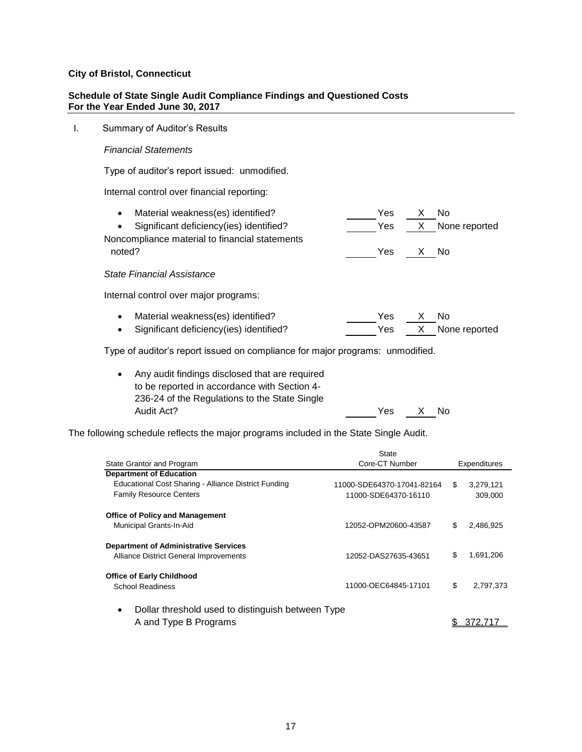#### **Schedule of State Single Audit Compliance Findings and Questioned Costs For the Year Ended June 30, 2017**

I. Summary of Auditor's Results

#### *Financial Statements*

Type of auditor's report issued: unmodified.

Internal control over financial reporting:

| Material weakness(es) identified?<br>$\bullet$ | Yes  | . No            |
|------------------------------------------------|------|-----------------|
| • Significant deficiency(ies) identified?      | Yes. | X None reported |
| Noncompliance material to financial statements |      |                 |
| noted?                                         | Yes  | X No            |
|                                                |      |                 |

#### *State Financial Assistance*

Internal control over major programs:

- Material weakness(es) identified? The Material weakness and the Material Material of Material Material Material Material Material Material Material Material Material Material Material Material Material Material Material
- Significant deficiency(ies) identified? Yes X None reported

Type of auditor's report issued on compliance for major programs: unmodified.

 Any audit findings disclosed that are required to be reported in accordance with Section 4- 236-24 of the Regulations to the State Single Audit Act? No and Audit Act? And Audit Act? A Mo

The following schedule reflects the major programs included in the State Single Audit.

|                                                                | State                      |    |              |
|----------------------------------------------------------------|----------------------------|----|--------------|
| State Grantor and Program                                      | Core-CT Number             |    | Expenditures |
| <b>Department of Education</b>                                 |                            |    |              |
| Educational Cost Sharing - Alliance District Funding           | 11000-SDE64370-17041-82164 | S  | 3,279,121    |
| <b>Family Resource Centers</b>                                 | 11000-SDE64370-16110       |    | 309.000      |
| <b>Office of Policy and Management</b>                         |                            |    |              |
| Municipal Grants-In-Aid                                        | 12052-OPM20600-43587       | \$ | 2,486,925    |
| <b>Department of Administrative Services</b>                   |                            |    |              |
| Alliance District General Improvements                         | 12052-DAS27635-43651       | \$ | 1,691,206    |
| <b>Office of Early Childhood</b>                               |                            |    |              |
| <b>School Readiness</b>                                        | 11000-OEC64845-17101       | \$ | 2,797,373    |
| Dollar threshold used to distinguish between Type<br>$\bullet$ |                            |    |              |
| A and Type B Programs                                          |                            |    | 372.717      |
|                                                                |                            |    |              |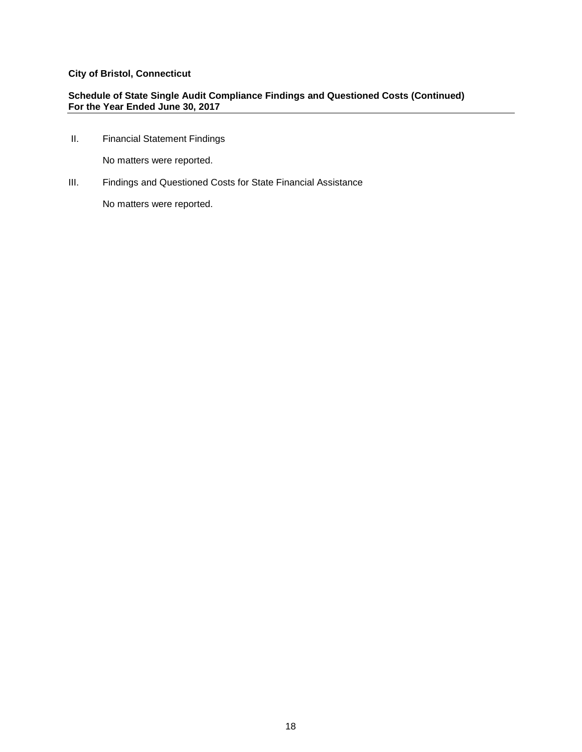## **Schedule of State Single Audit Compliance Findings and Questioned Costs (Continued) For the Year Ended June 30, 2017**

II. Financial Statement Findings

No matters were reported.

III. Findings and Questioned Costs for State Financial Assistance

No matters were reported.